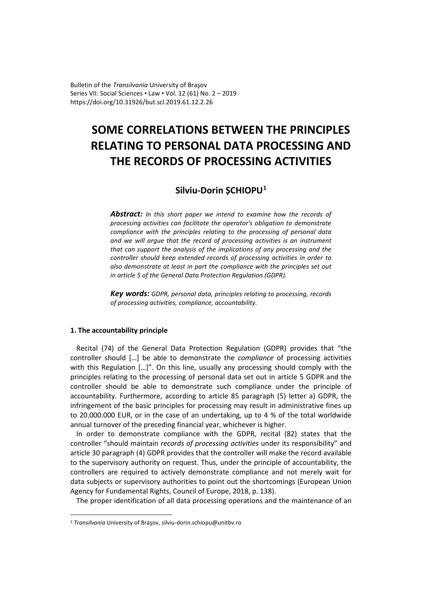Bulletin of the *Transilvania* University of Braşov Series VII: Social Sciences • Law • Vol. 12 (61) No. 2 – 2019 https://doi.org/10.31926/but.scl.2019.61.12.2.26

# **SOME CORRELATIONS BETWEEN THE PRINCIPLES RELATING TO PERSONAL DATA PROCESSING AND THE RECORDS OF PROCESSING ACTIVITIES**

## **Silviu-Dorin ȘCHIOPU[1](#page-0-0)**

*Abstract: In this short paper we intend to examine how the records of processing activities can facilitate the operator's obligation to demonstrate compliance with the principles relating to the processing of personal data and we will argue that the record of processing activities is an instrument that can support the analysis of the implications of any processing and the controller should keep extended records of processing activities in order to also demonstrate at least in part the compliance with the principles set out in article 5 of the General Data Protection Regulation (GDPR).*

*Key words: GDPR, personal data, principles relating to processing, records of processing activities, compliance, accountability.*

## **1. The accountability principle**

Recital (74) of the General Data Protection Regulation (GDPR) provides that "the controller should […] be able to demonstrate the *compliance* of processing activities with this Regulation [...]". On this line, usually any processing should comply with the principles relating to the processing of personal data set out in article 5 GDPR and the controller should be able to demonstrate such compliance under the principle of accountability. Furthermore, according to article 85 paragraph (5) letter a) GDPR, the infringement of the basic principles for processing may result in administrative fines up to 20.000.000 EUR, or in the case of an undertaking, up to 4 % of the total worldwide annual turnover of the preceding financial year, whichever is higher.

In order to demonstrate compliance with the GDPR, recital (82) states that the controller "should maintain *records of processing activities* under its responsibility" and article 30 paragraph (4) GDPR provides that the controller will make the record available to the supervisory authority on request. Thus, under the principle of accountability, the controllers are required to actively demonstrate compliance and not merely wait for data subjects or supervisory authorities to point out the shortcomings (European Union Agency for Fundamental Rights, Council of Europe, 2018, p. 138).

The proper identification of all data processing operations and the maintenance of an

<span id="page-0-0"></span><sup>1</sup> *Transilvania* University of Braşov, silviu-dorin.schiopu@unitbv.ro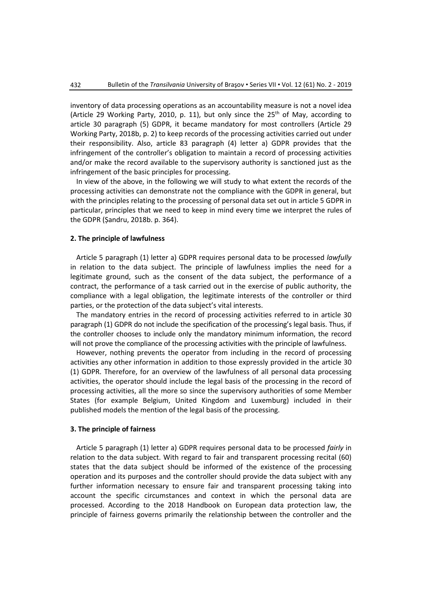inventory of data processing operations as an accountability measure is not a novel idea (Article 29 Working Party, 2010, p. 11), but only since the  $25<sup>th</sup>$  of May, according to article 30 paragraph (5) GDPR, it became mandatory for most controllers (Article 29 Working Party, 2018b, p. 2) to keep records of the processing activities carried out under their responsibility. Also, article 83 paragraph (4) letter a) GDPR provides that the infringement of the controller's obligation to maintain a record of processing activities and/or make the record available to the supervisory authority is sanctioned just as the infringement of the basic principles for processing.

In view of the above, in the following we will study to what extent the records of the processing activities can demonstrate not the compliance with the GDPR in general, but with the principles relating to the processing of personal data set out in article 5 GDPR in particular, principles that we need to keep in mind every time we interpret the rules of the GDPR (Șandru, 2018b. p. 364).

## **2. The principle of lawfulness**

Article 5 paragraph (1) letter a) GDPR requires personal data to be processed *lawfully* in relation to the data subject. The principle of lawfulness implies the need for a legitimate ground, such as the consent of the data subject, the performance of a contract, the performance of a task carried out in the exercise of public authority, the compliance with a legal obligation, the legitimate interests of the controller or third parties, or the protection of the data subject's vital interests.

The mandatory entries in the record of processing activities referred to in article 30 paragraph (1) GDPR do not include the specification of the processing's legal basis. Thus, if the controller chooses to include only the mandatory minimum information, the record will not prove the compliance of the processing activities with the principle of lawfulness.

However, nothing prevents the operator from including in the record of processing activities any other information in addition to those expressly provided in the article 30 (1) GDPR. Therefore, for an overview of the lawfulness of all personal data processing activities, the operator should include the legal basis of the processing in the record of processing activities, all the more so since the supervisory authorities of some Member States (for example Belgium, United Kingdom and Luxemburg) included in their published models the mention of the legal basis of the processing.

#### **3. The principle of fairness**

Article 5 paragraph (1) letter a) GDPR requires personal data to be processed *fairly* in relation to the data subject. With regard to fair and transparent processing recital (60) states that the data subject should be informed of the existence of the processing operation and its purposes and the controller should provide the data subject with any further information necessary to ensure fair and transparent processing taking into account the specific circumstances and context in which the personal data are processed. According to the 2018 Handbook on European data protection law, the principle of fairness governs primarily the relationship between the controller and the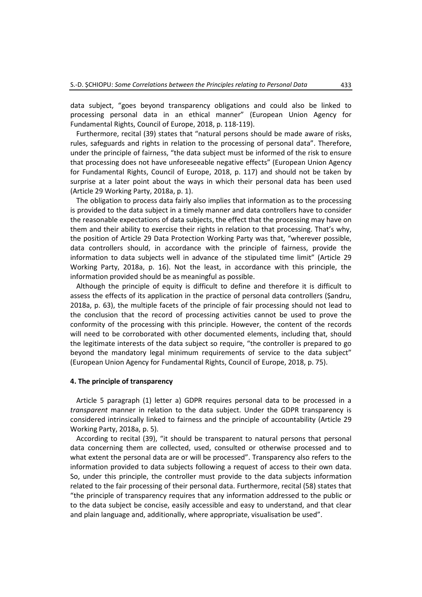data subject, "goes beyond transparency obligations and could also be linked to processing personal data in an ethical manner" (European Union Agency for Fundamental Rights, Council of Europe, 2018, p. 118-119).

Furthermore, recital (39) states that "natural persons should be made aware of risks, rules, safeguards and rights in relation to the processing of personal data". Therefore, under the principle of fairness, "the data subject must be informed of the risk to ensure that processing does not have unforeseeable negative effects" (European Union Agency for Fundamental Rights, Council of Europe, 2018, p. 117) and should not be taken by surprise at a later point about the ways in which their personal data has been used (Article 29 Working Party, 2018a, p. 1).

The obligation to process data fairly also implies that information as to the processing is provided to the data subject in a timely manner and data controllers have to consider the reasonable expectations of data subjects, the effect that the processing may have on them and their ability to exercise their rights in relation to that processing. That's why, the position of Article 29 Data Protection Working Party was that, "wherever possible, data controllers should, in accordance with the principle of fairness, provide the information to data subjects well in advance of the stipulated time limit" (Article 29 Working Party, 2018a, p. 16). Not the least, in accordance with this principle, the information provided should be as meaningful as possible.

Although the principle of equity is difficult to define and therefore it is difficult to assess the effects of its application in the practice of personal data controllers (Șandru, 2018a, p. 63), the multiple facets of the principle of fair processing should not lead to the conclusion that the record of processing activities cannot be used to prove the conformity of the processing with this principle. However, the content of the records will need to be corroborated with other documented elements, including that, should the legitimate interests of the data subject so require, "the controller is prepared to go beyond the mandatory legal minimum requirements of service to the data subject" (European Union Agency for Fundamental Rights, Council of Europe, 2018, p. 75).

### **4. The principle of transparency**

Article 5 paragraph (1) letter a) GDPR requires personal data to be processed in a *transparent* manner in relation to the data subject. Under the GDPR transparency is considered intrinsically linked to fairness and the principle of accountability (Article 29 Working Party, 2018a, p. 5).

According to recital (39), "it should be transparent to natural persons that personal data concerning them are collected, used, consulted or otherwise processed and to what extent the personal data are or will be processed". Transparency also refers to the information provided to data subjects following a request of access to their own data. So, under this principle, the controller must provide to the data subjects information related to the fair processing of their personal data. Furthermore, recital (58) states that "the principle of transparency requires that any information addressed to the public or to the data subject be concise, easily accessible and easy to understand, and that clear and plain language and, additionally, where appropriate, visualisation be used".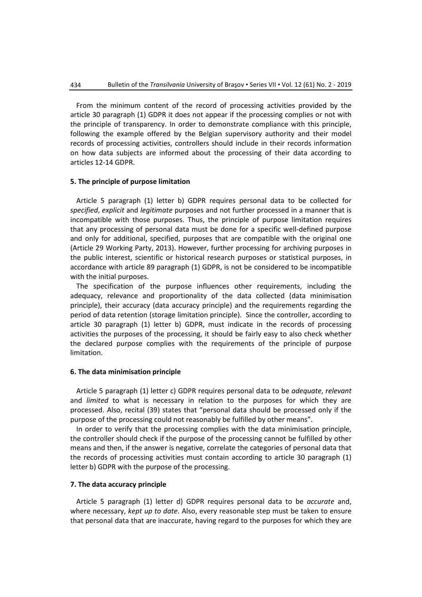From the minimum content of the record of processing activities provided by the article 30 paragraph (1) GDPR it does not appear if the processing complies or not with the principle of transparency. In order to demonstrate compliance with this principle, following the example offered by the Belgian supervisory authority and their model records of processing activities, controllers should include in their records information on how data subjects are informed about the processing of their data according to articles 12-14 GDPR.

## **5. The principle of purpose limitation**

Article 5 paragraph (1) letter b) GDPR requires personal data to be collected for *specified*, *explicit* and *legitimate* purposes and not further processed in a manner that is incompatible with those purposes. Thus, the principle of purpose limitation requires that any processing of personal data must be done for a specific well-defined purpose and only for additional, specified, purposes that are compatible with the original one (Article 29 Working Party, 2013). However, further processing for archiving purposes in the public interest, scientific or historical research purposes or statistical purposes, in accordance with article 89 paragraph (1) GDPR, is not be considered to be incompatible with the initial purposes.

The specification of the purpose influences other requirements, including the adequacy, relevance and proportionality of the data collected (data minimisation principle), their accuracy (data accuracy principle) and the requirements regarding the period of data retention (storage limitation principle). Since the controller, according to article 30 paragraph (1) letter b) GDPR, must indicate in the records of processing activities the purposes of the processing, it should be fairly easy to also check whether the declared purpose complies with the requirements of the principle of purpose limitation.

#### **6. The data minimisation principle**

Article 5 paragraph (1) letter c) GDPR requires personal data to be *adequate*, *relevant* and *limited* to what is necessary in relation to the purposes for which they are processed. Also, recital (39) states that "personal data should be processed only if the purpose of the processing could not reasonably be fulfilled by other means".

In order to verify that the processing complies with the data minimisation principle, the controller should check if the purpose of the processing cannot be fulfilled by other means and then, if the answer is negative, correlate the categories of personal data that the records of processing activities must contain according to article 30 paragraph (1) letter b) GDPR with the purpose of the processing.

## **7. The data accuracy principle**

Article 5 paragraph (1) letter d) GDPR requires personal data to be *accurate* and, where necessary, *kept up to date*. Also, every reasonable step must be taken to ensure that personal data that are inaccurate, having regard to the purposes for which they are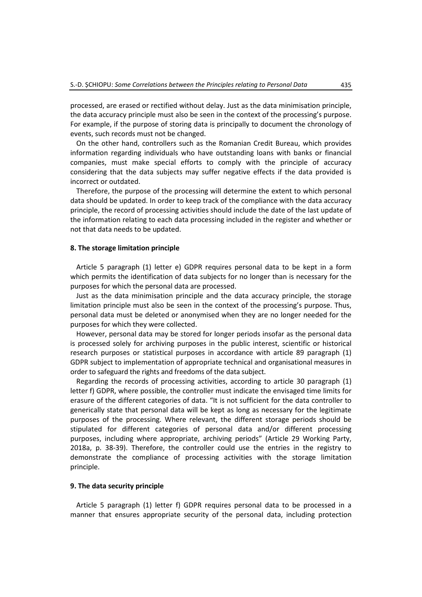processed, are erased or rectified without delay. Just as the data minimisation principle, the data accuracy principle must also be seen in the context of the processing's purpose. For example, if the purpose of storing data is principally to document the chronology of events, such records must not be changed.

On the other hand, controllers such as the Romanian Credit Bureau, which provides information regarding individuals who have outstanding loans with banks or financial companies, must make special efforts to comply with the principle of accuracy considering that the data subjects may suffer negative effects if the data provided is incorrect or outdated.

Therefore, the purpose of the processing will determine the extent to which personal data should be updated. In order to keep track of the compliance with the data accuracy principle, the record of processing activities should include the date of the last update of the information relating to each data processing included in the register and whether or not that data needs to be updated.

#### **8. The storage limitation principle**

Article 5 paragraph (1) letter e) GDPR requires personal data to be kept in a form which permits the identification of data subjects for no longer than is necessary for the purposes for which the personal data are processed.

Just as the data minimisation principle and the data accuracy principle, the storage limitation principle must also be seen in the context of the processing's purpose. Thus, personal data must be deleted or anonymised when they are no longer needed for the purposes for which they were collected.

However, personal data may be stored for longer periods insofar as the personal data is processed solely for archiving purposes in the public interest, scientific or historical research purposes or statistical purposes in accordance with article 89 paragraph (1) GDPR subject to implementation of appropriate technical and organisational measures in order to safeguard the rights and freedoms of the data subject.

Regarding the records of processing activities, according to article 30 paragraph (1) letter f) GDPR, where possible, the controller must indicate the envisaged time limits for erasure of the different categories of data. "It is not sufficient for the data controller to generically state that personal data will be kept as long as necessary for the legitimate purposes of the processing. Where relevant, the different storage periods should be stipulated for different categories of personal data and/or different processing purposes, including where appropriate, archiving periods" (Article 29 Working Party, 2018a, p. 38-39). Therefore, the controller could use the entries in the registry to demonstrate the compliance of processing activities with the storage limitation principle.

## **9. The data security principle**

Article 5 paragraph (1) letter f) GDPR requires personal data to be processed in a manner that ensures appropriate security of the personal data, including protection